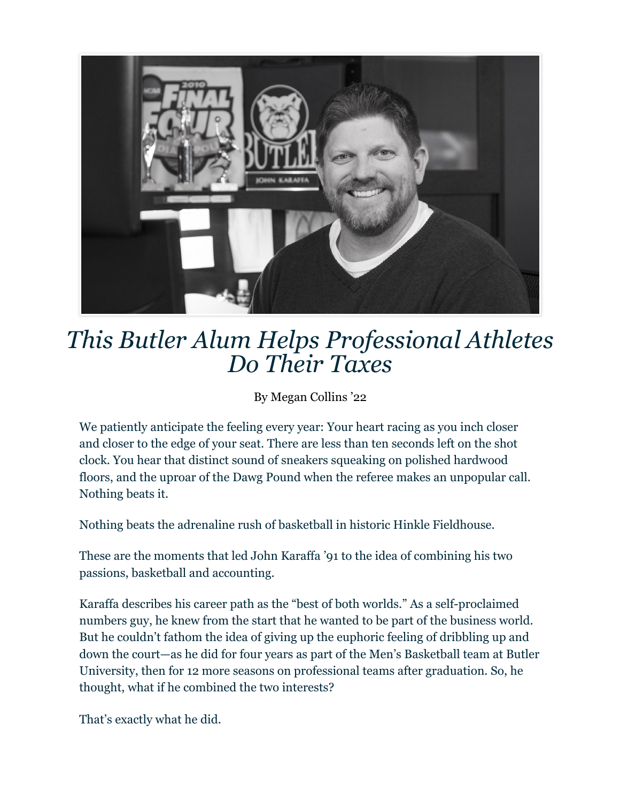

## *This Butler Alum Helps Professional Athletes Do Their Taxes*

By Megan Collins '22

We patiently anticipate the feeling every year: Your heart racing as you inch closer and closer to the edge of your seat. There are less than ten seconds left on the shot clock. You hear that distinct sound of sneakers squeaking on polished hardwood floors, and the uproar of the Dawg Pound when the referee makes an unpopular call. Nothing beats it.

Nothing beats the adrenaline rush of basketball in historic Hinkle Fieldhouse.

These are the moments that led John Karaffa '91 to the idea of combining his two passions, basketball and accounting.

Karaffa describes his career path as the "best of both worlds." As a self-proclaimed numbers guy, he knew from the start that he wanted to be part of the business world. But he couldn't fathom the idea of giving up the euphoric feeling of dribbling up and down the court—as he did for four years as part of the Men's Basketball team at Butler University, then for 12 more seasons on professional teams after graduation. So, he thought, what if he combined the two interests?

That's exactly what he did.